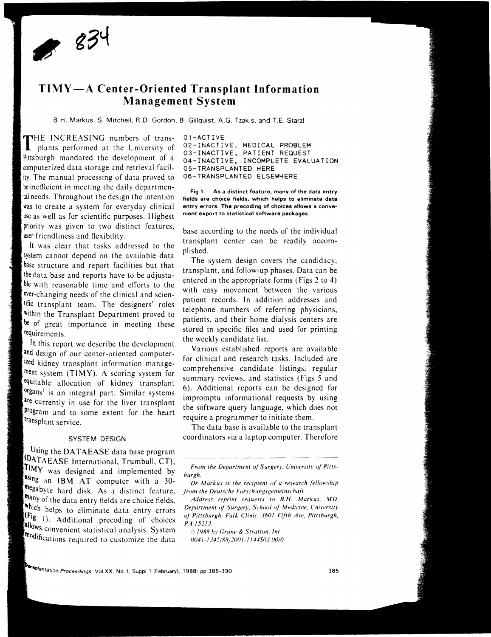

# **TIMY-A Center-Oriented Transplant Information Management System**

B.H. Markus, S. Mitchell, R.D. Gordon. B. Gillauist, A.G. Tzakis, and T.E. Starzl

THE INCREASING numbers of transplants performed at the Lniversity of Pittsburgh mandated the development of a computerized data storage and retrieval facility. The manual processing of data proved to be inefficient in meeting the daily departmental needs. Throughout the design the intention was to create a system for everyday clinical use as well as for scientific purposes Highest priority was given to two distinct features, user friendliness and flexibility.

It was clear that tasks addressed to the system cannot depend on the available data base structure and report facilities but that the data base and reports have to be adjustable with reasonable time and efforts to the ever-changing needs of the clinical and scientific transplant team. The designers' roles within the Transplant Department proved to be of great importance in meeting these requirements.

In this report we describe the development and design of our center-oriented computerized kidney transplant information management system (TIMY). A scoring system for equitable allocation of kidney transplant organs<sup>1</sup> is an integral part. Similar systems are currently in use for the liver transplant program and to some extent for the heart<br>transplant service.

### SYSTEM DESIGN

Using the DATAEASE data base program DATAEASE International, Trumbull, CT),  $\text{TMY}$  was designed and implemented by using an IBM AT computer with a 30megabyte hard disk. As a distinct feature. many of the data entry fields are choice fields. which helps to eliminate data entry errors  $[Fig 1].$  Additional precoding of choices allows convenient statistical analysis. System  $f_{\text{modifications required to customize the data}}$  01-ACTIVE 02-INACTIVE, MEDICAL PROBLEM 03-INACTIVE, PATIENT REQUEST 04-INACTIVE, INCOMPLETE EVALUATION 05-TRANSPLANTED HERE 06-TRANSPLANTED ELSEWHERE

Fig 1. As a distinct feature, many of the data entry fields are choice fields, which helps to eliminate data entry errors. The precoding of choices allows a convenient export to statistical software packages.

base according to the needs of the individual transplant center can be readily accomplished.

The system design covers the candidacy, transplant, and follow-up phases. Data can be entered in the appropriate forms (Figs 2 to 4) with easy movement between the various patient records. In addition addresses and telephone numbers of referring physicians. patients, and their home dialysis centers are stored in specific files and used for printing the weekly candidate list.

Various established reports are available for clinical and research tasks. Included are comprehensive candidate listings. regular summary reviews, and statistics (Figs 5 and 6). Additional reports can be designed for impromptu informational requests by using the software query language, which does not require a programmer to initiate them.

The data base is available to the transplant coordinators via a laptop computer. Therefore

 $\odot$  1988 by Grune & Stratton, Inc. 0041-1345/88/2001-1144\$03.00/0

Prensplantation Proceedings. Vol XX, No 1, Suppl 1 (February), 1988: pp 385-390 385-390 385 385

*From the Department of Surgery. University of Pittshurgh.* 

*Dr Markus* is *the recipient of a research fellowship*   $from the Deutsche Forschungsgemeinschaft.$ 

*Address reprint requests to B.H. Markus, MD.* **Department of Surgery, School of Medicine, University** *of Pittsburgh, Falk Clinic, 3601 Fifth Ave. Pittsburgh, PA 15213*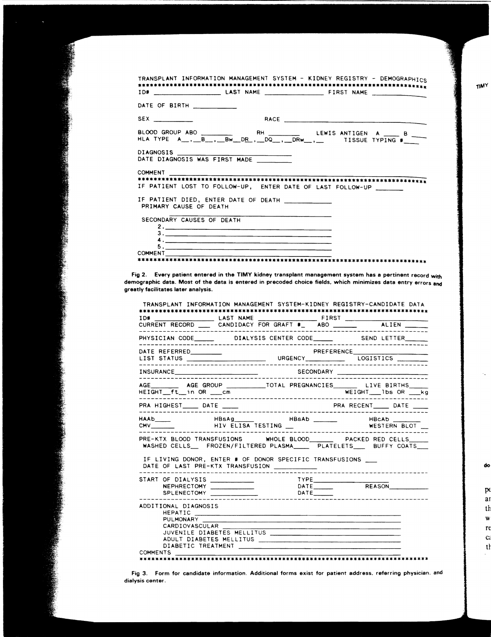| TRANSPLANT INFORMATION MANAGEMENT SYSTEM - KIDNEY REGISTRY - DEMOGRAPHICS |  |  |  |  |
|---------------------------------------------------------------------------|--|--|--|--|
| DATE OF BIRTH ___________                                                 |  |  |  |  |
|                                                                           |  |  |  |  |
|                                                                           |  |  |  |  |
| DIAGNOSIS<br>DATE DIAGNOSIS WAS FIRST MADE                                |  |  |  |  |
| IF PATIENT LOST TO FOLLOW-UP, ENTER DATE OF LAST FOLLOW-UP                |  |  |  |  |
| PRIMARY CAUSE OF DEATH                                                    |  |  |  |  |
| SECONDARY CAUSES OF DEATH                                                 |  |  |  |  |
| COMMENT                                                                   |  |  |  |  |

Fig 2. Every patient entered in the TIMY kidney transplant management system has a pertinent record with demographic data. Most of the data is entered in precoded choice fields, which minimizes data entry errors and greatly facilitates later analysis.

|                                                                                                          |                |  | TRANSPLANT INFORMATION MANAGEMENT SYSTEM-KIDNEY REGISTRY-CANDIDATE DATA                                                                            |
|----------------------------------------------------------------------------------------------------------|----------------|--|----------------------------------------------------------------------------------------------------------------------------------------------------|
|                                                                                                          |                |  |                                                                                                                                                    |
|                                                                                                          |                |  |                                                                                                                                                    |
|                                                                                                          |                |  |                                                                                                                                                    |
|                                                                                                          |                |  |                                                                                                                                                    |
|                                                                                                          |                |  |                                                                                                                                                    |
|                                                                                                          |                |  |                                                                                                                                                    |
|                                                                                                          |                |  | AGE ___________ AGE GROUP ______________TOTAL PREGNANCIES _________ LIVE BIRTHS ______<br>HEIGHT ft in OR compared the WEIGHT 1bs OR Kg            |
|                                                                                                          |                |  |                                                                                                                                                    |
|                                                                                                          |                |  |                                                                                                                                                    |
|                                                                                                          |                |  | PRE-KTX BLOOD TRANSFUSIONS WHOLE BLOOD_________ PACKED RED CELLS______<br>WASHED CELLS___ FROZEN/FILTERED PLASMA_____ PLATELETS____ BUFFY COATS___ |
| IF LIVING DONOR, ENTER # OF DONOR SPECIFIC TRANSFUSIONS<br>DATE OF LAST PRE-KTX TRANSFUSION ____________ |                |  |                                                                                                                                                    |
|                                                                                                          |                |  |                                                                                                                                                    |
| ADDITIONAL DIAGNOSIS                                                                                     | CARDIOVASCULAR |  |                                                                                                                                                    |
| <b>COMMENTS</b>                                                                                          |                |  |                                                                                                                                                    |

do

**TIMY** 

 $p\epsilon$ ar th w re c,

 $t$ 

Fig 3. Form for candidate information. Additional forms exist for patient address. referring physician. and dialysis center.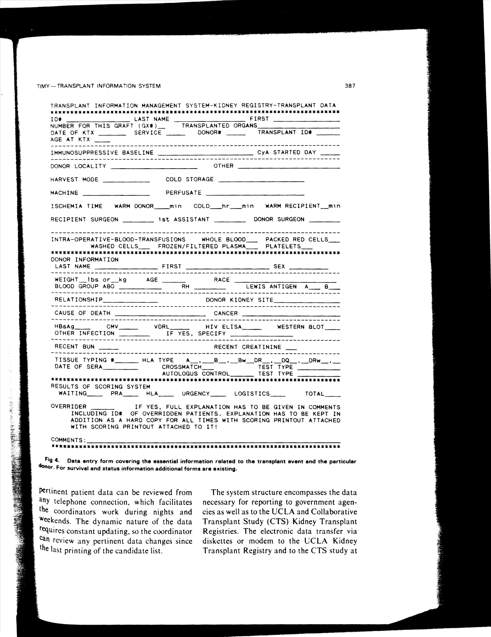#### TIMY-TRANSPLANT INFORMATION SYSTEM

| THE CONTRACT CONTRACT CONTRACT CONTRACT CONTRACT CONTRACT CONTRACT CONTRACT CONTRACT CONTRACT CONTRACT CONTRACT CONTRACT CONTRACT CONTRACT CONTRACT CONTRACT CONTRACT CONTRACT CONTRACT CONTRACT CONTRACT CONTRACT CONTRACT CO                                               |                                               |  |                        |  |
|------------------------------------------------------------------------------------------------------------------------------------------------------------------------------------------------------------------------------------------------------------------------------|-----------------------------------------------|--|------------------------|--|
| AGE AT KTX                                                                                                                                                                                                                                                                   |                                               |  |                        |  |
|                                                                                                                                                                                                                                                                              |                                               |  |                        |  |
|                                                                                                                                                                                                                                                                              |                                               |  |                        |  |
| HARVEST MODE                                                                                                                                                                                                                                                                 |                                               |  |                        |  |
|                                                                                                                                                                                                                                                                              |                                               |  |                        |  |
| ISCHEMIA TIME WARM DONOR____min COLD___hr___min WARM RECIPIENT__min                                                                                                                                                                                                          |                                               |  |                        |  |
| RECIPIENT SURGEON __________ 1st ASSISTANT ___________ DONOR SURGEON _________                                                                                                                                                                                               |                                               |  |                        |  |
| INTRA-OPERATIVE-BLOOD-TRANSFUSIONS WHOLE BLOOD___ PACKED RED CELLS___                                                                                                                                                                                                        | WASHED CELLS FROZEN/FILTERED PLASMA PLATELETS |  |                        |  |
| DONOR INFORMATION                                                                                                                                                                                                                                                            |                                               |  |                        |  |
|                                                                                                                                                                                                                                                                              |                                               |  |                        |  |
|                                                                                                                                                                                                                                                                              |                                               |  |                        |  |
|                                                                                                                                                                                                                                                                              |                                               |  |                        |  |
| HBsAg________CMV______________VDRL________<br>OTHER INFECTION TE YES, SPECIFY THE CONTRACT OF THE CONTRACT OF THE CONTRACT OF THE CONTRACT OF THE CONTRACT OF THE CONTRACT OF THE CONTRACT OF THE CONTRACT OF THE CONTRACT OF THE CONTRACT OF THE CONTRACT OF THE CONTRACT O |                                               |  | HIV ELISA WESTERN BLOT |  |
|                                                                                                                                                                                                                                                                              |                                               |  |                        |  |
| TISSUE TYPING #________HLA TYPE A__,___B__,__Bw__DR__,__DQ__,__DRw__,__<br>DATE OF SERA CROSSMATCH TEST TYPE                                                                                                                                                                 |                                               |  |                        |  |
| RESULTS OF SCORING SYSTEM<br>WAITING________ PRA_______ HLA______ URGENCY_______ LOGISTICS_______ TOTAL_____                                                                                                                                                                 |                                               |  |                        |  |
| INCLUDING ID# OF OVERRIDDEN PATIENTS. EXPLANATION HAS TO BE KEPT IN<br>ADDITION AS A HARD COPY FOR ALL TIMES WITH SCORING PRINTOUT ATTACHED<br>WITH SCORING PRINTOUT ATTACHED TO IT!                                                                                         |                                               |  |                        |  |

Fig 4. Data entry form covering the essential information related to the transplant event and the particular donor. For survival and status information additional forms are existing.

pertinent patient data can be reviewed from any telephone connection, which facilitates the coordinators work during nights and weekends. The dynamic nature of the data requires constant updating, so the coordinator can review any pertinent data changes since the last printing of the candidate list.

The system structure encompasses the data necessary for reporting to government agencies as well as to the UCLA and Collaborative Transplant Study (CTS) Kidney Transplant Registries. The electronic data transfer via diskettes or modem to the UCLA Kidney Transplant Registry and to the CTS study at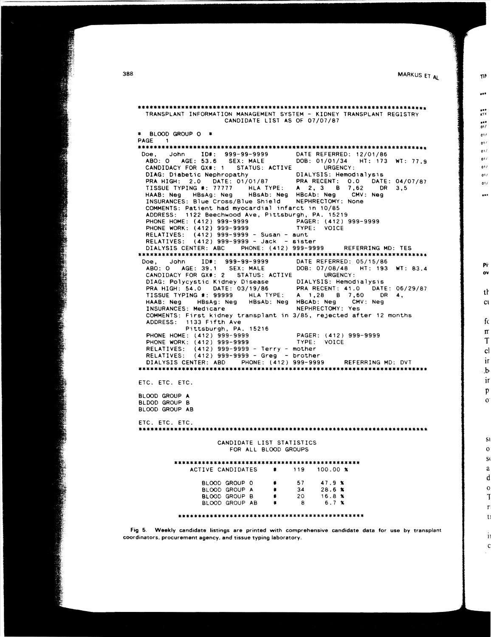**MARKUS ET AL** 

.. ,

TIN

." -" ." *0'(* 

01.1 0' !  $01/$ *0' i*   $01/$ 

 $01/$ 

...

 $01/$ 

Pi' ov

tf C\

> fc IT T  $c<sub>1</sub>$ ir .h ir p o

> > SI o S( a d o T r ti

> > > 11 c

\*\*\*\*\*\*\*\*\*\*\*\*\*\*\*\*\*\*\*\*\*\*\*\*\*\*\*\*\*\*\*\*\*\*\*\*\*\*\*\*\*\*\*\*\*\*\*\*\*\*\*\*\*\*\*\*\*\*\*\*\*\*\*\*\*\*\*\*\*\*\*\*\* TRANSPLANT INFORMATION MANAGEMENT SYSTEM - KIDNEY TRANSPLANT REGISTRY CANDIDATE LIST AS OF 07/07/87 \* BLOOD GROUP 0 \* PAGE 1 \*\*\*\*\*\*\*\*\*\*\*\*\*\*\*\*\*\*\*\*\*\*\*\*\*\*\*\*\*\*\*\*\*\*\*\*\*\*\*\*\*\*\*\*\*\*\*\*\*\*\*\*\*\*\*\*\*\*\*\*\*\*\*\*\*\*\*\*\*\*\*\*\* Doe, John ID#: 999-99-9999 DATE REFERRED: 12/01/86 ABO: 0 AGE: 53.6 SEX: MALE DOB: 01/01/34 HT: 173 WT: 77.9 CANDIDACY FOR GX\*: 1 STATUS: ACTIVE URGENCY:<br>DIAG: Diabetic Nephropathy DIALYSIS: Hemodialysis DIAG: Diabetic Nephropathy **DIALYSIS: Hemodialysis** PRA HIGH: 2.0 DATE: 01/01/87 PRA RECENT: 0.0 DATE: 04/07/87 TISSUE TYPING .: 77777 HLA TYPE: A 2, 3 B 7,62 DR 3,5 HAAB: Neg HBsAg: Neg HBsAb: Neg HBcAb: Neg CMV: Neg HAAB: Neg HBsAg: Neg HBsAb: Neg HBcAb: Neg CMV<br>INSURANCES: Blue Cross/Blue Shield NEPHRECTOMY: None COMMENTS: Patient had myocardial infarct in 10/85 ADDRESS: 1122 Beechwood Ave, Pittsburgh, PA. 15219<br>PHONE HOME: (412) 999-9999 PAGER: (412) 999-9999<br>PHONE WORK: (412) 999-9999 TYPE: VOICE PHONE HOME: (412) 999-9999 PHONE WORK: (412) 999-9999 RELATIVES: (412) 999-9999 - Susan - aunt RELATIVES: (412) 999-9999 - Jack - sister DIALYSIS CENTER: ABC PHONE: (412) 999-9999 REFERRING MD: TES \*\*\*\*\*\*\*\*\*\*\*\*\*\*\*\*\*\*\*\*\*\*\*\*\*\*\*\*\*\*\*\*\*\*\*\*\*\*\*\*\*\*\*\*\*\*\*\*\*\*\*\*\*\*\*\*\*\*\*\*\*\*\*\*\*\*\*\*\*\*\*\*\* Doe, John 10.: 999-99-9999 DATE REFERRED: 05/15/86 ABO: 0 AGE: 39.1 SEX: MALE DOB: 07/08/48 HT: 193 WT: 83.4 CANDIDACY FOR GX.: 2 STATUS: ACTIVE URGENCY: DIAG: Polycystic Kidney Disease DIALYSIS: Hemodialysis<br>PRA HIGH: 54.0 DATE: 03/19/86 PRA RECENT: 41.0 DATE PRA HIGH: 54.0 DATE: 03/19/86 PRA RECENT: 41.0 DATE: 06/29/87 TISSUE TYPING .: 99999 HLA TYPE: A 1,28 B 7,60 DR 4, HAAB: Neg HBsAg: Neg HBsAb: Neg HBcAb: Neg CMV: Neg HAAB: Neg ABSAg: Neg HBsAb: Neg HBcAb: Neg CM<br>INSURANCES: Medicare NEPHRECTOMY: Yes COMMENTS: First kidney transplant in 3/85, rejected after 12 months ADDRESS: 1133 Fifth Ave Pi ttsburgh, PA. 15216 PHONE HOME: (412) 999- 9999 PAGER: (412) 999-9999 PHONE WORK: (412) 999-9999 RELATIVES; (412) 999-9999 - Terry - mother RELATIVES; (412) 999-9999 - Greg - brother DIALYSIS CENTER: ABD PHONE: (412) 999-9999 REFERRING MD: DVT \*\*\*\*\*\*\*\*\*\*\*\*\*\*\*\*\*\*\*\*\*\*\*\*\*\*\*\*\*\*\*\*\*\*\*\*\*\*\*\*\*\*\*\*\*\*\*\*\*\*\*\*\*\*\*\*\*\*\*\*\*\*\*\*\*\*\*\*\*\*\*\*\* ETC. ETC. ETC. BLOOD GROUP A BLOOD GROUP B BLOOD GROUP AB ETC. ETC. ETC. \*\*\*\*\*\*\*\*\*\*\*\*\*\*\*\*\*\*\*\*\*\*\*\*\*\*\*\*\*\*\*\*\*\*\*\*\*\*\*\*\*\*\*\*\*\*\*\*\*\*\*\*\*\*\*\*\*\*\*\*\*\*\*\*\*\*\*\*\*\*\*\*\* CANDIDATE LIST STATISTICS FOR ALL BLOOD GROUPS \*\*\*\*\*\*\*\*\*\*\*\*\*\*\*\*\*\*\*\*\*\*\*\*\*\*\*\*\*\*\*\*\*\*\*\*\*\*\*\*\*\*\*\*\*\*\* ACTIVE CANDIDATES BLOOD GROUP 0 • 57 47.9 <sup>~</sup> BLOOD GROUP A \* 34 28.6 %<br>BLOOD GROUP B \* 20 16.8 % **BLOOD GROUP B # 20 16.8 %**<br>BLOOD GROUP AB # 8 6.7 % BLOOD GROUP AB \*\*\*\*\*\*\*\*\*\*\*\*\*\*\*\*\*\*\*\*\*\*\*\*\*\*\*\*\*\*\*\*\*\*\*\*\*\*\*\*\*\*\*\*\*\*\*

Fig 5. Weekly candidate listings are printed with comprehensive candidate data for use by transplant coordinators. procurement agency. and tissue typing laboratory.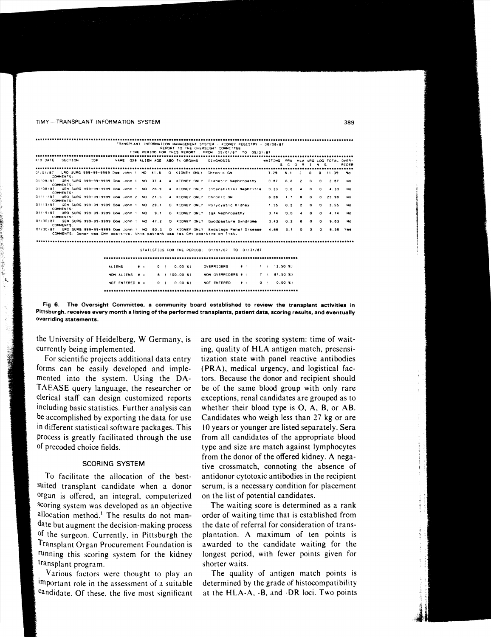#### TIMY-TRANSPLANT INFORMATION SYSTEM

|                                                                                                               |               |  |  |  | TRANSPLANT INFORMATION MANAGEMENT SYSTEM - KIDNEY REGISTRY - 06/06/87        |                   |                                   |                                 |
|---------------------------------------------------------------------------------------------------------------|---------------|--|--|--|------------------------------------------------------------------------------|-------------------|-----------------------------------|---------------------------------|
|                                                                                                               |               |  |  |  | REPORT TO THE OVERSIGHT COMMITTEE                                            |                   |                                   |                                 |
| TIME PERIOD FOR THIS REPORT. FROM 05/01/87 TO 05/31/87<br>,,,,,,,,,,,,,,,,,,,,,,,,,,,,,,,,,,                  |               |  |  |  |                                                                              |                   |                                   |                                 |
| KTX DATE SECTION : ID# WAME GX# ALIEN AGE ABO TX ORGANS : DIAGNOSIS   WAITING PRA HLA URG LOG TOTAL OVER-     |               |  |  |  |                                                                              |                   |                                   |                                 |
|                                                                                                               |               |  |  |  |                                                                              |                   | SCORING                           | RIDER                           |
|                                                                                                               |               |  |  |  |                                                                              |                   |                                   |                                 |
| 01/01/87 URO SURG 999-99-9999 Doe yonn 1: NO 41.6 . O. KIDNEY ONLY Chronic GN<br>COMMENTS:                    |               |  |  |  |                                                                              |                   | $3.29$ 6.1 2 0                    | $0$ 11.39 No.                   |
| 01/08/87                                                                                                      |               |  |  |  | GEN SURG 999-99-9999 Doe John 1 NO 37.4 A KIDNEY ONLY Diabetic Nephropathy   | $0.67$ $0.0$ $2$  |                                   | $0 \t 0 \t 2.67$<br>No.         |
| <b>COMMENTS</b>                                                                                               |               |  |  |  |                                                                              |                   |                                   |                                 |
| 01/08/87<br>COMMENTS:                                                                                         |               |  |  |  | GEN SURG 999-99-9999 Doe John ! NO 28.9 A KIDNEY ONLY Interstitial Nephritis | 0.33              | $9.0 - 4$<br>$\Omega$             | $0 = 4.33$ No.                  |
| 01/11/87 URO SURG 999-99-9999 Doe John 2 NO 21.5 A KIDNEY ONLY Chronic GN                                     |               |  |  |  |                                                                              | 9.28              | 7.7<br>$\mathbf{a}$<br>$^{\circ}$ | 0, 23, 98<br>No.                |
| COMMENTS:                                                                                                     |               |  |  |  |                                                                              |                   |                                   |                                 |
| 01/13/87 GEN SURG 999-99-9999 Doe John 1: NO 29,1 0: KIDNEY ONLY: Polycystic Kidney<br><b>COMMENTS</b>        |               |  |  |  |                                                                              | $1.35 \t 0.2$     | $^{\circ}$<br>$\overline{z}$      | $^{\circ}$<br>3.55<br>No.       |
| 01/19/87 URO SURG 999-99-9999 Doe John 1: NO 9.1 O KIDNEY ONLY IGA Nephropathy                                |               |  |  |  |                                                                              | 0.14<br>0.0       | $^{\circ}$<br>$\blacksquare$      | $^{\circ}$<br>4.14<br><b>No</b> |
| COMMENTS:                                                                                                     |               |  |  |  |                                                                              |                   |                                   |                                 |
| 01/30/87 GEN SURG 999-99-9999 Doe John ! NO 47.2 0 KIDNEY ONLY Goodpasture Syndrome<br>COMMENTS:              |               |  |  |  |                                                                              | 3.43              | 0.2<br>6.<br>$\Omega$             | $^{\circ}$<br>9.63 No.          |
| 01/30/87 URO SURG 999-99-9999 Doe John 1 NO 60.3 O KIDNEY ONLY Endstage Renal Disease 4.86 3.7 0 0 0 8.56 Yes |               |  |  |  |                                                                              |                   |                                   |                                 |
| COMMENTS: Donor was CMV positive, this patient was 1st CMV positive on list.                                  |               |  |  |  |                                                                              |                   |                                   |                                 |
|                                                                                                               |               |  |  |  |                                                                              |                   |                                   |                                 |
|                                                                                                               |               |  |  |  |                                                                              |                   |                                   |                                 |
|                                                                                                               |               |  |  |  | STATISTICS FOR THE PERIOD: 01/01/87 TO 01/31/87                              |                   |                                   |                                 |
|                                                                                                               |               |  |  |  |                                                                              |                   |                                   |                                 |
|                                                                                                               |               |  |  |  |                                                                              |                   |                                   |                                 |
|                                                                                                               | <b>ALIENS</b> |  |  |  |                                                                              |                   |                                   |                                 |
|                                                                                                               |               |  |  |  |                                                                              |                   |                                   |                                 |
|                                                                                                               |               |  |  |  | HON ALIENS # = 8 (100.00 %) NON OVERRIDERS # = 7 (87.50 %)                   |                   |                                   |                                 |
|                                                                                                               |               |  |  |  | NOT ENTERED # = 0 ( 0.00 %) NOT ENTERED                                      | $B = 0$ ( 0.00 K) |                                   |                                 |
|                                                                                                               |               |  |  |  |                                                                              |                   |                                   |                                 |
|                                                                                                               |               |  |  |  |                                                                              |                   |                                   |                                 |
|                                                                                                               |               |  |  |  |                                                                              |                   |                                   |                                 |

Fig 6. The Oversight Committee, a community board established to review the transplant activities in Pittsburgh, receives every month a listing of the performed transplants, patient data, scoring results, and eventually overriding statements.

the University of Heidelberg, W Germany, is currently being implemented.

For scientific projects additional data entry forms can be easily developed and implemented into the system. Using the DA-TAEASE query language, the researcher or clerical staff can design customized reports including basic statistics. Further analysis can be accomplished by exporting the data for use in different statistical software packages. This process is greatly facilitated through the use of precoded choice fields.

#### **SCORING SYSTEM**

To facilitate the allocation of the bestsuited transplant candidate when a donor organ is offered, an integral, computerized scoring system was developed as an objective allocation method.<sup>1</sup> The results do not mandate but augment the decision-making process of the surgeon. Currently, in Pittsburgh the Transplant Organ Procurement Foundation is running this scoring system for the kidney transplant program.

Various factors were thought to play an important role in the assessment of a suitable candidate. Of these, the five most significant are used in the scoring system: time of waiting, quality of HLA antigen match, presensitization state with panel reactive antibodies (PRA), medical urgency, and logistical factors. Because the donor and recipient should be of the same blood group with only rare exceptions, renal candidates are grouped as to whether their blood type is  $O$ ,  $A$ ,  $B$ , or  $AB$ . Candidates who weigh less than 27 kg or are 10 years or younger are listed separately. Sera from all candidates of the appropriate blood type and size are match against lymphocytes from the donor of the offered kidney. A negative crossmatch, connoting the absence of antidonor cytotoxic antibodies in the recipient serum, is a necessary condition for placement on the list of potential candidates.

The waiting score is determined as a rank order of waiting time that is established from the date of referral for consideration of transplantation. A maximum of ten points is awarded to the candidate waiting for the longest period, with fewer points given for shorter waits.

The quality of antigen match points is determined by the grade of histocompatibility at the HLA-A, -B, and -DR loci. Two points

389